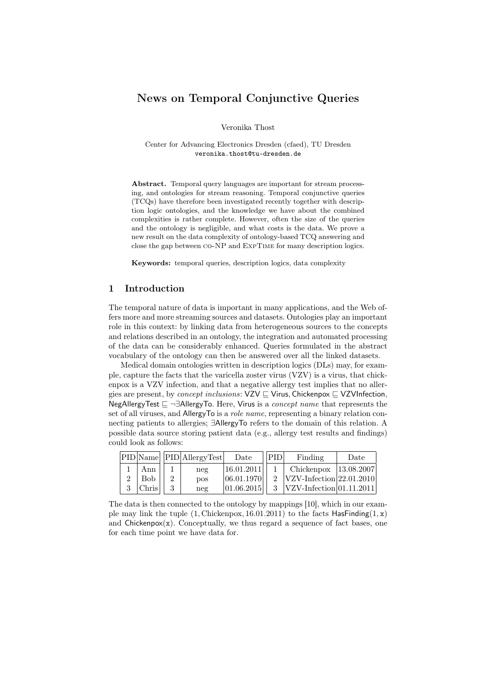# News on Temporal Conjunctive Queries

Veronika Thost

Center for Advancing Electronics Dresden (cfaed), TU Dresden veronika.thost@tu-dresden.de

Abstract. Temporal query languages are important for stream processing, and ontologies for stream reasoning. Temporal conjunctive queries (TCQs) have therefore been investigated recently together with description logic ontologies, and the knowledge we have about the combined complexities is rather complete. However, often the size of the queries and the ontology is negligible, and what costs is the data. We prove a new result on the data complexity of ontology-based TCQ answering and close the gap between co-NP and ExpTime for many description logics.

Keywords: temporal queries, description logics, data complexity

## 1 Introduction

The temporal nature of data is important in many applications, and the Web offers more and more streaming sources and datasets. Ontologies play an important role in this context: by linking data from heterogeneous sources to the concepts and relations described in an ontology, the integration and automated processing of the data can be considerably enhanced. Queries formulated in the abstract vocabulary of the ontology can then be answered over all the linked datasets.

Medical domain ontologies written in description logics (DLs) may, for example, capture the facts that the varicella zoster virus (VZV) is a virus, that chickenpox is a VZV infection, and that a negative allergy test implies that no allergies are present, by *concept inclusions*:  $VZV \sqsubseteq V$ irus, Chickenpox  $\sqsubseteq VZV$ Infection, NegAllergyTest  $\subseteq \neg \exists$ AllergyTo. Here, Virus is a *concept name* that represents the set of all viruses, and AllergyTo is a *role name*, representing a binary relation connecting patients to allergies; ∃AllergyTo refers to the domain of this relation. A possible data source storing patient data (e.g., allergy test results and findings) could look as follows:

|  |                 | $ PID Name $ $ PID AllergyTest $ | Date         | PID | Finding                                        | Date |
|--|-----------------|----------------------------------|--------------|-----|------------------------------------------------|------|
|  | Ann             | neg                              |              |     | $ 16.01.2011 $ 1   Chickenpox $ 13.08.2007 $   |      |
|  | Bob-            | <b>DOS</b>                       | [06.01.1970] |     | 2 $ VZV\text{-Infection} 22.01.2010 $          |      |
|  | $ {\rm Chris} $ | neg                              |              |     | $ 01.06.2015 $ 3  VZV-Infection $ 01.11.2011 $ |      |

The data is then connected to the ontology by mappings [10], which in our example may link the tuple  $(1, Chickenpox, 16.01.2011)$  to the facts HasFinding $(1, x)$ and  $Chickenpox(x)$ . Conceptually, we thus regard a sequence of fact bases, one for each time point we have data for.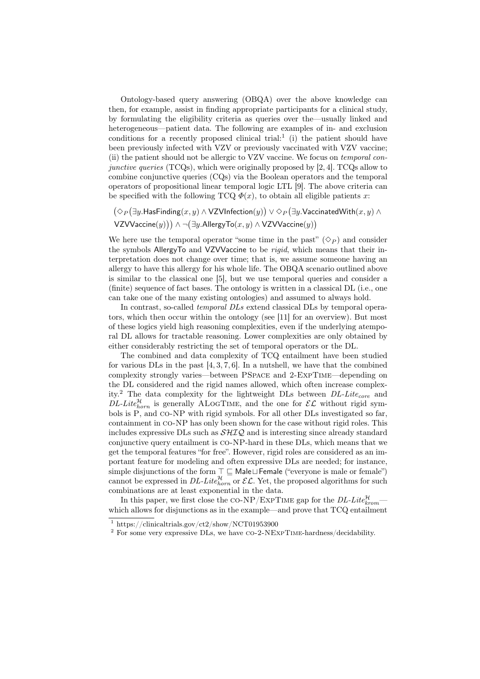Ontology-based query answering (OBQA) over the above knowledge can then, for example, assist in finding appropriate participants for a clinical study, by formulating the eligibility criteria as queries over the—usually linked and heterogeneous—patient data. The following are examples of in- and exclusion conditions for a recently proposed clinical trial:<sup>1</sup> (i) the patient should have been previously infected with VZV or previously vaccinated with VZV vaccine; (ii) the patient should not be allergic to VZV vaccine. We focus on temporal con*junctive queries* (TCQs), which were originally proposed by [2, 4]. TCQs allow to combine conjunctive queries (CQs) via the Boolean operators and the temporal operators of propositional linear temporal logic LTL [9]. The above criteria can be specified with the following  $TCQ \Phi(x)$ , to obtain all eligible patients x:

 $\bigl(\Diamond_P\bigl(\exists y.\mathsf{HasFinding}(x,y) \wedge \mathsf{VZVInflection}(y)\bigr) \vee \Diamond_P\bigl(\exists y.\mathsf{VaccinatedWith}(x,y) \wedge \mathsf{VZVInflection}(y)\bigr)$ VZVVaccine $(y))$ ) ∧ ¬ $(\exists y$ .AllergyTo $(x, y)$  ∧ VZVVaccine $(y))$ 

We here use the temporal operator "some time in the past"  $(\Diamond_p)$  and consider the symbols AllergyTo and VZVVaccine to be rigid, which means that their interpretation does not change over time; that is, we assume someone having an allergy to have this allergy for his whole life. The OBQA scenario outlined above is similar to the classical one [5], but we use temporal queries and consider a (finite) sequence of fact bases. The ontology is written in a classical DL (i.e., one can take one of the many existing ontologies) and assumed to always hold.

In contrast, so-called *temporal DLs* extend classical DLs by temporal operators, which then occur within the ontology (see [11] for an overview). But most of these logics yield high reasoning complexities, even if the underlying atemporal DL allows for tractable reasoning. Lower complexities are only obtained by either considerably restricting the set of temporal operators or the DL.

The combined and data complexity of TCQ entailment have been studied for various DLs in the past [4, 3, 7, 6]. In a nutshell, we have that the combined complexity strongly varies—between PSpace and 2-ExpTime—depending on the DL considered and the rigid names allowed, which often increase complexity.<sup>2</sup> The data complexity for the lightweight DLs between  $DL\text{-}Lite_{core}$  and  $DL\text{-}Lite_{horn}^{\mathcal{H}}$  is generally ALOGTIME, and the one for  $\mathcal{EL}$  without rigid symbols is P, and co-NP with rigid symbols. For all other DLs investigated so far, containment in co-NP has only been shown for the case without rigid roles. This includes expressive DLs such as  $\mathcal{SHIQ}$  and is interesting since already standard conjunctive query entailment is co-NP-hard in these DLs, which means that we get the temporal features "for free". However, rigid roles are considered as an important feature for modeling and often expressive DLs are needed; for instance, simple disjunctions of the form  $\top \sqsubseteq$  Male $\sqcup$ Female ("everyone is male or female") cannot be expressed in  $DL\text{-}Lite_{horn}^{\mathcal{H}}$  or  $\mathcal{EL}$ . Yet, the proposed algorithms for such combinations are at least exponential in the data.

In this paper, we first close the CO-NP/EXPTIME gap for the  $DL\text{-}Lie^\mathcal{H}_{krom}$  which allows for disjunctions as in the example—and prove that TCQ entailment

<sup>&</sup>lt;sup>1</sup> https://clinicaltrials.gov/ct2/show/NCT01953900

 $^2$  For some very expressive DLs, we have CO-2-NEXPTIME-hardness/decidability.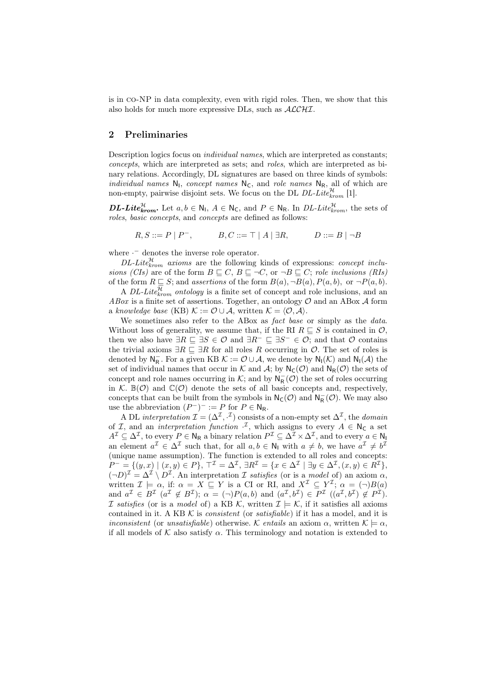is in co-NP in data complexity, even with rigid roles. Then, we show that this also holds for much more expressive DLs, such as ALCHI.

### 2 Preliminaries

Description logics focus on individual names, which are interpreted as constants; concepts, which are interpreted as sets; and roles, which are interpreted as binary relations. Accordingly, DL signatures are based on three kinds of symbols: individual names  $N_1$ , concept names  $N_c$ , and role names  $N_R$ , all of which are non-empty, pairwise disjoint sets. We focus on the DL  $DL\text{-}Like_{krom}^{\mathcal{H}}$  [1].

**DL-Lite** $k_{\text{rrom}}^{\mathcal{H}}$ . Let  $a, b \in \mathbb{N}_1$ ,  $A \in \mathbb{N}_C$ , and  $P \in \mathbb{N}_R$ . In DL-Lite $k_{\text{rrom}}^{\mathcal{H}}$ , the sets of roles, basic concepts, and concepts are defined as follows:

 $R, S ::= P | P^-,$   $B, C ::= \top | A | \exists R,$   $D ::= B | \neg B$ 

where · <sup>−</sup> denotes the inverse role operator.

 $DL\text{-}Lite_{krom}^{\mathcal{H}}$  axioms are the following kinds of expressions: concept inclusions (CIs) are of the form  $B \sqsubseteq C$ ,  $B \sqsubseteq \neg C$ , or  $\neg B \sqsubseteq C$ ; role inclusions (RIs) of the form  $R \subseteq S$ ; and assertions of the form  $B(a)$ ,  $\neg B(a)$ ,  $P(a, b)$ , or  $\neg P(a, b)$ .

A DL-Lite $_{krom}^{\mathcal{H}}$  ontology is a finite set of concept and role inclusions, and an ABox is a finite set of assertions. Together, an ontology  $\mathcal O$  and an ABox  $\mathcal A$  form a knowledge base (KB)  $\mathcal{K} := \mathcal{O} \cup \mathcal{A}$ , written  $\mathcal{K} = \langle \mathcal{O}, \mathcal{A} \rangle$ .

We sometimes also refer to the ABox as *fact base* or simply as the *data*. Without loss of generality, we assume that, if the RI  $R \sqsubseteq S$  is contained in  $\mathcal{O}$ , then we also have  $\exists R \sqsubseteq \exists S \in \mathcal{O}$  and  $\exists R^{-} \sqsubseteq \exists S^{-} \in \mathcal{O}$ ; and that  $\mathcal{O}$  contains the trivial axioms  $\exists R \sqsubseteq \exists R$  for all roles R occurring in  $\mathcal{O}$ . The set of roles is denoted by  $\mathsf{N}_{\mathsf{R}}^-$ . For a given KB  $\mathcal{K} := \mathcal{O} \cup \mathcal{A}$ , we denote by  $\mathsf{N}_{\mathsf{I}}(\mathcal{K})$  and  $\mathsf{N}_{\mathsf{I}}(\mathcal{A})$  the set of individual names that occur in K and A; by  $N_{\mathsf{C}}(\mathcal{O})$  and  $N_{\mathsf{R}}(\mathcal{O})$  the sets of concept and role names occurring in  $K$ ; and by  $N_R^-(\mathcal{O})$  the set of roles occurring in K.  $\mathbb{B}(\mathcal{O})$  and  $\mathbb{C}(\mathcal{O})$  denote the sets of all basic concepts and, respectively, concepts that can be built from the symbols in  $N_{\mathsf{C}}(\mathcal{O})$  and  $N_{\mathsf{R}}^-(\mathcal{O})$ . We may also use the abbreviation  $(P^-)^- := P$  for  $P \in N_R$ .

A DL interpretation  $\mathcal{I} = (\Delta^{\mathcal{I}}, \cdot^{\mathcal{I}})$  consists of a non-empty set  $\Delta^{\mathcal{I}}$ , the *domain* of *I*, and an *interpretation function*  $\cdot$ <sup>*I*</sup>, which assigns to every  $A \in \mathbb{N}_C$  a set  $A^{\mathcal{I}} \subseteq \Delta^{\mathcal{I}}$ , to every  $P \in \mathsf{N}_{\mathsf{R}}$  a binary relation  $P^{\mathcal{I}} \subseteq \Delta^{\mathcal{I}} \times \Delta^{\mathcal{I}}$ , and to every  $a \in \mathsf{N}_{\mathsf{R}}$ an element  $a^{\mathcal{I}} \in \Delta^{\mathcal{I}}$  such that, for all  $a, b \in \mathbb{N}_1$  with  $a \neq b$ , we have  $a^{\mathcal{I}} \neq b^{\mathcal{I}}$ (unique name assumption). The function is extended to all roles and concepts:  $P^- = \{(y, x) \mid (x, y) \in P\}, \ \top^{\mathcal{I}} = \Delta^{\mathcal{I}}, \ \exists R^{\mathcal{I}} = \{x \in \Delta^{\mathcal{I}} \mid \exists y \in \Delta^{\mathcal{I}}, (x, y) \in R^{\mathcal{I}}\},\$  $(\neg D)^{\mathcal{I}} = \Delta^{\mathcal{I}} \setminus D^{\mathcal{I}}$ . An interpretation  $\mathcal{I}$  satisfies (or is a model of) an axiom  $\alpha$ , written  $\mathcal{I} \models \alpha$ , if:  $\alpha = X \sqsubseteq Y$  is a CI or RI, and  $X^{\mathcal{I}} \subseteq Y^{\mathcal{I}}$ ;  $\alpha = (\neg)B(a)$ and  $a^{\mathcal{I}} \in B^{\mathcal{I}}$   $(a^{\mathcal{I}} \notin B^{\mathcal{I}}); \ \alpha = (\neg)P(a, b)$  and  $(a^{\mathcal{I}}, b^{\mathcal{I}}) \in P^{\mathcal{I}}$   $((a^{\mathcal{I}}, b^{\mathcal{I}}) \notin P^{\mathcal{I}}).$ I satisfies (or is a model of) a KB K, written  $\mathcal{I} \models \mathcal{K}$ , if it satisfies all axioms contained in it. A KB  $K$  is *consistent* (or *satisfiable*) if it has a model, and it is *inconsistent* (or *unsatisfiable*) otherwise. K entails an axiom  $\alpha$ , written  $\mathcal{K} \models \alpha$ , if all models of  $K$  also satisfy  $\alpha$ . This terminology and notation is extended to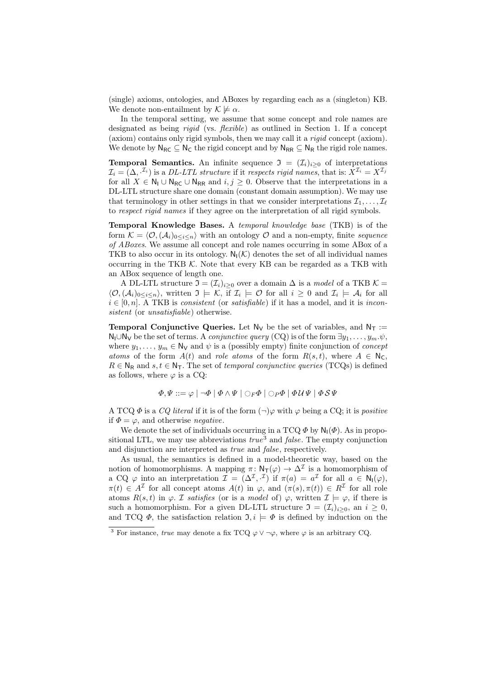(single) axioms, ontologies, and ABoxes by regarding each as a (singleton) KB. We denote non-entailment by  $\mathcal{K} \not\models \alpha$ .

In the temporal setting, we assume that some concept and role names are designated as being *rigid* (vs. *flexible*) as outlined in Section 1. If a concept (axiom) contains only rigid symbols, then we may call it a rigid concept (axiom). We denote by  $N_{RC} \subseteq N_C$  the rigid concept and by  $N_{RR} \subseteq N_R$  the rigid role names.

**Temporal Semantics.** An infinite sequence  $\mathfrak{I} = (\mathcal{I}_i)_{i>0}$  of interpretations  $\mathcal{I}_i=(\Delta, \mathcal{I}_i)$  is a DL-LTL structure if it respects rigid names, that is:  $X^{\mathcal{I}_i}=X^{\mathcal{I}_j}$ for all  $X \in \mathbb{N}_1 \cup \mathbb{N}_{\mathbb{R} \mathbb{C}} \cup \mathbb{N}_{\mathbb{R} \mathbb{R}}$  and  $i, j \geq 0$ . Observe that the interpretations in a DL-LTL structure share one domain (constant domain assumption). We may use that terminology in other settings in that we consider interpretations  $\mathcal{I}_1, \ldots, \mathcal{I}_{\ell}$ to respect rigid names if they agree on the interpretation of all rigid symbols.

Temporal Knowledge Bases. A temporal knowledge base (TKB) is of the form  $\mathcal{K} = \langle \mathcal{O},(\mathcal{A}_i)_{0\leq i\leq n}\rangle$  with an ontology  $\mathcal{O}$  and a non-empty, finite sequence of ABoxes. We assume all concept and role names occurring in some ABox of a TKB to also occur in its ontology.  $N_1(\mathcal{K})$  denotes the set of all individual names occurring in the TKB  $K$ . Note that every KB can be regarded as a TKB with an ABox sequence of length one.

A DL-LTL structure  $\mathfrak{I} = (\mathcal{I}_i)_{i>0}$  over a domain  $\Delta$  is a model of a TKB  $\mathcal{K} =$  $\langle \mathcal{O},(\mathcal{A}_i)_{0\leq i\leq n}\rangle$ , written  $\mathfrak{I} \models \mathcal{K}$ , if  $\mathcal{I}_i \models \mathcal{O}$  for all  $i \geq 0$  and  $\mathcal{I}_i \models \mathcal{A}_i$  for all  $i \in [0, n]$ . A TKB is consistent (or satisfiable) if it has a model, and it is inconsistent (or *unsatisfiable*) otherwise.

**Temporal Conjunctive Queries.** Let  $N_V$  be the set of variables, and  $N_T :=$  $N_1 \cup N_1$  be the set of terms. A *conjunctive query* (CQ) is of the form  $\exists y_1, \ldots, y_m.\psi$ , where  $y_1, \ldots, y_m \in \mathbb{N}_V$  and  $\psi$  is a (possibly empty) finite conjunction of *concept* atoms of the form  $A(t)$  and role atoms of the form  $R(s,t)$ , where  $A \in \mathbb{N}_{\mathsf{C}}$ ,  $R \in N_R$  and  $s, t \in N_T$ . The set of temporal conjunctive queries (TCQs) is defined as follows, where  $\varphi$  is a CQ:

$$
\varPhi,\varPsi ::= \varphi \mid \neg \varPhi \mid \varPhi \land \varPsi \mid \bigcirc_F \varPhi \mid \bigcirc_P \varPhi \mid \varPhi U \varPsi \mid \varPhi \mathcal{S} \varPsi
$$

A TCQ  $\Phi$  is a CQ literal if it is of the form  $(\neg)\varphi$  with  $\varphi$  being a CQ; it is positive if  $\Phi = \varphi$ , and otherwise *negative*.

We denote the set of individuals occurring in a TCQ  $\Phi$  by  $\mathsf{N}_1(\Phi)$ . As in propositional LTL, we may use abbreviations  $true^3$  and  $false$ . The empty conjunction and disjunction are interpreted as true and false, respectively.

As usual, the semantics is defined in a model-theoretic way, based on the notion of homomorphisms. A mapping  $\pi \colon \mathsf{N}_\mathsf{T}(\varphi) \to \Delta^\mathcal{I}$  is a homomorphism of a CQ  $\varphi$  into an interpretation  $\mathcal{I} = (\Delta^{\mathcal{I}}, \cdot^{\mathcal{I}})$  if  $\pi(a) = a^{\mathcal{I}}$  for all  $a \in \mathsf{N}_{\mathsf{I}}(\varphi)$ ,  $\pi(t) \in A^{\mathcal{I}}$  for all concept atoms  $A(t)$  in  $\varphi$ , and  $(\pi(s), \pi(t)) \in R^{\mathcal{I}}$  for all role atoms  $R(s,t)$  in  $\varphi$ . *I satisfies* (or is a *model* of)  $\varphi$ , written  $\mathcal{I} \models \varphi$ , if there is such a homomorphism. For a given DL-LTL structure  $\mathfrak{I} = (\mathcal{I}_i)_{i \geq 0}$ , an  $i \geq 0$ , and TCQ  $\Phi$ , the satisfaction relation  $\mathfrak{I}, i \models \Phi$  is defined by induction on the

<sup>&</sup>lt;sup>3</sup> For instance, true may denote a fix TCQ  $\varphi \vee \neg \varphi$ , where  $\varphi$  is an arbitrary CQ.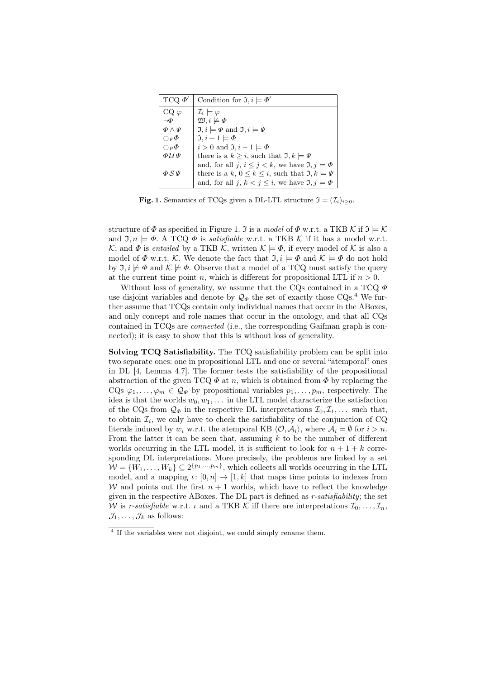| $TCQ \phi'$             | Condition for $\mathfrak{I}, i \models \Phi'$                              |
|-------------------------|----------------------------------------------------------------------------|
| $CQ \varphi$            | $\mathcal{I}_i \models \varphi$                                            |
| $\neg \Phi$             | $\mathfrak{W}, i \not\models \Phi$                                         |
| $\Phi \wedge \Psi$      | $\mathfrak{I}, i \models \varPhi$ and $\mathfrak{I}, i \models \varPsi$    |
| $\bigcirc_F\varPhi$     | $\mathfrak{I}, i+1 \models \varPhi$                                        |
| $\bigcirc_P \varPhi$    | $i > 0$ and $\mathfrak{I}, i - 1 \models \Phi$                             |
| $\Phi \mathcal{U} \Psi$ | there is a $k > i$ , such that $\mathfrak{I}, k \models \Psi$              |
|                         | and, for all j, $i \leq j < k$ , we have $\mathfrak{I}, j \models \Phi$    |
| $\Phi \mathcal{S} \Psi$ | there is a k, $0 \leq k \leq i$ , such that $\mathfrak{I}, k \models \Psi$ |
|                         | and, for all j, $k < j \leq i$ , we have $\mathfrak{I}, j \models \Phi$    |

**Fig. 1.** Semantics of TCQs given a DL-LTL structure  $\mathfrak{I} = (\mathcal{I}_i)_{i>0}$ .

structure of  $\Phi$  as specified in Figure 1. J is a model of  $\Phi$  w.r.t. a TKB K if  $\mathfrak{I} \models \mathcal{K}$ and  $\mathfrak{I}, n \models \Phi$ . A TCQ  $\Phi$  is *satisfiable* w.r.t. a TKB K if it has a model w.r.t. K; and  $\Phi$  is entailed by a TKB K, written  $\mathcal{K} \models \Phi$ , if every model of K is also a model of  $\Phi$  w.r.t. K. We denote the fact that  $\mathfrak{I}, i \models \Phi$  and  $\mathcal{K} \models \Phi$  do not hold by  $\mathfrak{I}, i \not\models \Phi$  and  $\mathcal{K} \not\models \Phi$ . Observe that a model of a TCQ must satisfy the query at the current time point n, which is different for propositional LTL if  $n > 0$ .

Without loss of generality, we assume that the CQs contained in a TCQ  $\Phi$ use disjoint variables and denote by  $\mathcal{Q}_{\phi}$  the set of exactly those CQs.<sup>4</sup> We further assume that TCQs contain only individual names that occur in the ABoxes, and only concept and role names that occur in the ontology, and that all CQs contained in TCQs are connected (i.e., the corresponding Gaifman graph is connected); it is easy to show that this is without loss of generality.

Solving TCQ Satisfiability. The TCQ satisfiability problem can be split into two separate ones: one in propositional LTL and one or several "atemporal" ones in DL [4, Lemma 4.7]. The former tests the satisfiability of the propositional abstraction of the given TCQ  $\Phi$  at n, which is obtained from  $\Phi$  by replacing the CQs  $\varphi_1, \ldots, \varphi_m \in \mathcal{Q}_{\Phi}$  by propositional variables  $p_1, \ldots, p_m$ , respectively. The idea is that the worlds  $w_0, w_1, \ldots$  in the LTL model characterize the satisfaction of the CQs from  $\mathcal{Q}_{\Phi}$  in the respective DL interpretations  $\mathcal{I}_0, \mathcal{I}_1, \ldots$  such that, to obtain  $\mathcal{I}_i$ , we only have to check the satisfiability of the conjunction of CQ literals induced by  $w_i$  w.r.t. the atemporal KB  $\langle O, A_i \rangle$ , where  $A_i = \emptyset$  for  $i > n$ . From the latter it can be seen that, assuming  $k$  to be the number of different worlds occurring in the LTL model, it is sufficient to look for  $n + 1 + k$  corresponding DL interpretations. More precisely, the problems are linked by a set  $\mathcal{W} = \{W_1, \ldots, W_k\} \subseteq 2^{\{p_1, \ldots, p_m\}}$ , which collects all worlds occurring in the LTL model, and a mapping  $\iota: [0, n] \to [1, k]$  that maps time points to indexes from W and points out the first  $n + 1$  worlds, which have to reflect the knowledge given in the respective ABoxes. The DL part is defined as r-satisfiability; the set W is r-satisfiable w.r.t.  $\iota$  and a TKB K iff there are interpretations  $\mathcal{I}_0, \ldots, \mathcal{I}_n$ ,  $\mathcal{J}_1, \ldots, \mathcal{J}_k$  as follows:

<sup>&</sup>lt;sup>4</sup> If the variables were not disjoint, we could simply rename them.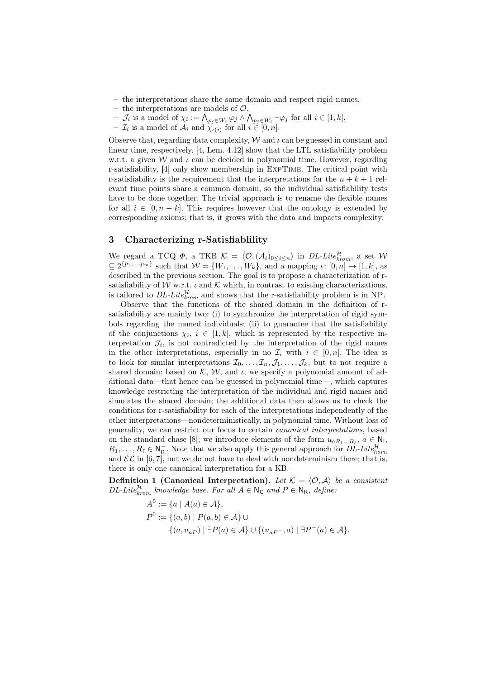- the interpretations share the same domain and respect rigid names,
- the interpretations are models of  $\mathcal{O}$ ,
- $\begin{aligned} \text{ }\quad -\mathcal{J}_i \text{ is a model of }\chi_i := \bigwedge_{p_j\in W_i}\varphi_j \wedge \bigwedge_{p_j\in \overline{W_i}} \neg \varphi_j \text{ for all } i\in [1,k], \end{aligned}$
- $\mathcal{I}_i$  is a model of  $\mathcal{A}_i$  and  $\chi_{\iota(i)}$  for all  $i \in [0, n]$ .

Observe that, regarding data complexity,  $W$  and  $\iota$  can be guessed in constant and linear time, respectively. [4, Lem. 4.12] show that the LTL satisfiability problem w.r.t. a given W and  $\iota$  can be decided in polynomial time. However, regarding r-satisfiability, [4] only show membership in ExpTime. The critical point with r-satisfiability is the requirement that the interpretations for the  $n + k + 1$  relevant time points share a common domain, so the individual satisfiability tests have to be done together. The trivial approach is to rename the flexible names for all  $i \in [0, n+k]$ . This requires however that the ontology is extended by corresponding axioms; that is, it grows with the data and impacts complexity.

#### 3 Characterizing r-Satisfiablility

We regard a TCQ  $\Phi$ , a TKB  $\mathcal{K} = \langle \mathcal{O}, (\mathcal{A}_i)_{0 \leq i \leq n} \rangle$  in DL-Lite $_{krom}^{\mathcal{H}}$ , a set W  $\subseteq 2^{\{p_1,\dots,p_m\}}$  such that  $\mathcal{W} = \{W_1,\dots,W_k\}$ , and a mapping  $\iota: [0,n] \to [1,k]$ , as described in the previous section. The goal is to propose a characterization of rsatisfiability of W w.r.t.  $\iota$  and K which, in contrast to existing characterizations, is tailored to  $DL\text{-}Lie_{krom}^{\mathcal{H}}$  and shows that the r-satisfiability problem is in NP.

Observe that the functions of the shared domain in the definition of rsatisfiability are mainly two: (i) to synchronize the interpretation of rigid symbols regarding the named individuals; (ii) to guarantee that the satisfiability of the conjunctions  $\chi_i, i \in [1, k]$ , which is represented by the respective interpretation  $\mathcal{J}_i$ , is not contradicted by the interpretation of the rigid names in the other interpretations, especially in no  $\mathcal{I}_i$  with  $i \in [0, n]$ . The idea is to look for similar interpretations  $\mathcal{I}_0, \ldots, \mathcal{I}_n, \mathcal{J}_1, \ldots, \mathcal{J}_k$ , but to not require a shared domain: based on  $K$ ,  $W$ , and  $\iota$ , we specify a polynomial amount of additional data—that hence can be guessed in polynomial time—, which captures knowledge restricting the interpretation of the individual and rigid names and simulates the shared domain; the additional data then allows us to check the conditions for r-satisfiability for each of the interpretations independently of the other interpretations—nondeterministically, in polynomial time. Without loss of generality, we can restrict our focus to certain canonical interpretations, based on the standard chase [8]; we introduce elements of the form  $u_{aR_1...R_\ell}$ ,  $a \in \mathbb{N}_1$ ,  $R_1, \ldots, R_\ell \in \mathbb{N}_{\mathsf{R}}^-$ . Note that we also apply this general approach for  $D\tilde{L}$ -Lite $_{horn}^{\mathcal{H}}$ and  $\mathcal{EL}$  in [6,7], but we do not have to deal with nondeterminism there; that is, there is only one canonical interpretation for a KB.

Definition 1 (Canonical Interpretation). Let  $\mathcal{K} = \langle \mathcal{O}, \mathcal{A} \rangle$  be a consistent  $DL\text{-}Lie_{krom}^{\mathcal{H}}$  knowledge base. For all  $A \in \mathsf{N}_{\mathsf{C}}$  and  $P \in \mathsf{N}_{\mathsf{R}}$ , define:

$$
A^{0} := \{a \mid A(a) \in \mathcal{A}\},
$$
  
\n
$$
P^{0} := \{(a, b) \mid P(a, b) \in \mathcal{A}\} \cup
$$
  
\n
$$
\{(a, u_{aP}) \mid \exists P(a) \in \mathcal{A}\} \cup \{(u_{aP^{-}}, a) \mid \exists P^{-}(a) \in \mathcal{A}\}.
$$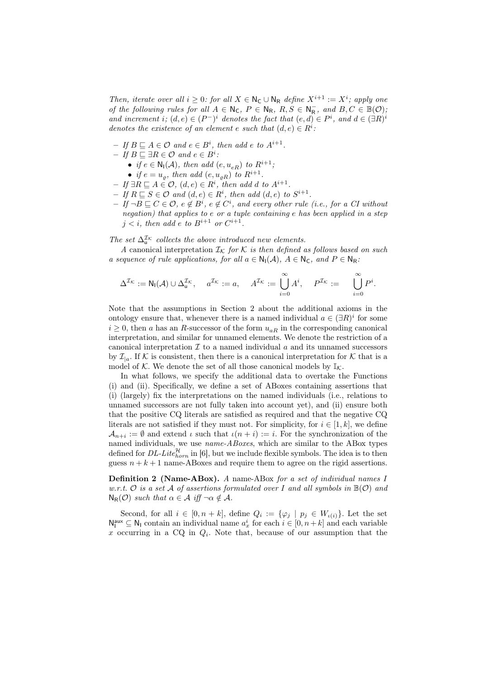Then, iterate over all  $i \geq 0$ : for all  $X \in \mathbb{N}_{\mathsf{C}} \cup \mathbb{N}_{\mathsf{R}}$  define  $X^{i+1} := X^i$ ; apply one of the following rules for all  $A \in \mathbb{N}_{\mathsf{C}}$ ,  $P \in \mathbb{N}_{\mathsf{R}}$ ,  $R, S \in \mathbb{N}_{\mathsf{R}}^-$ , and  $B, C \in \mathbb{B}(\mathcal{O})$ , and increment i;  $(d, e) \in (P^-)^i$  denotes the fact that  $(e, d) \in P^i$ , and  $d \in (\exists R)^i$ denotes the existence of an element e such that  $(d, e) \in R<sup>i</sup>$ .

- $-If B \sqsubseteq A \in \mathcal{O}$  and  $e \in B^i$ , then add e to  $A^{i+1}$ .
- $-$  If  $B \sqsubseteq \exists R \in \mathcal{O}$  and  $e \in B^i$ .
	- if  $e \in N_1(\mathcal{A})$ , then add  $(e, u_{eR})$  to  $R^{i+1}$ ;
	- if  $e = u_{\varrho}$ , then add  $(e, u_{\varrho R})$  to  $R^{i+1}$ .
- $-If \,\exists R \sqsubseteq A \in \mathcal{O}, (d, e) \in R^i$ , then add d to  $A^{i+1}$ .
- $-If R \sqsubseteq S \in \mathcal{O}$  and  $(d, e) \in R^i$ , then add  $(d, e)$  to  $S^{i+1}$ .
- $−$  If  $\neg B \sqsubseteq C \in \mathcal{O}$ ,  $e \notin B^i$ ,  $e \notin C^i$ , and every other rule (i.e., for a CI without negation) that applies to e or a tuple containing e has been applied in a step  $j < i$ , then add e to  $B^{i+1}$  or  $C^{i+1}$ .

The set  $\Delta_{\mathbf{u}}^{\mathcal{I}_{\mathcal{K}}}$  collects the above introduced new elements.

A canonical interpretation  $\mathcal{I}_{\mathcal{K}}$  for  $\mathcal K$  is then defined as follows based on such a sequence of rule applications, for all  $a \in N_1(\mathcal{A})$ ,  $A \in N_{\mathsf{C}}$ , and  $P \in N_{\mathsf{R}}$ :

$$
\Delta^{\mathcal{I}_{\mathcal{K}}}:=\mathsf{N}_{\mathsf{I}}(\mathcal{A})\cup \Delta^{\mathcal{I}_{\mathcal{K}}}_{\mathsf{u}},\quad a^{\mathcal{I}_{\mathcal{K}}}:=a,\quad A^{\mathcal{I}_{\mathcal{K}}}:=\bigcup_{i=0}^{\infty} A^i,\quad P^{\mathcal{I}_{\mathcal{K}}}:=\quad \bigcup_{i=0}^{\infty} P^i.
$$

Note that the assumptions in Section 2 about the additional axioms in the ontology ensure that, whenever there is a named individual  $a \in (\exists R)^i$  for some  $i\geq 0,$  then  $a$  has an  $R\text{-}successor$  of the form  $u_{aR}$  in the corresponding canonical interpretation, and similar for unnamed elements. We denote the restriction of a canonical interpretation  $\mathcal I$  to a named individual  $a$  and its unnamed successors by  $\mathcal{I}_{a}$ . If K is consistent, then there is a canonical interpretation for K that is a model of K. We denote the set of all those canonical models by  $\mathbb{I}_{K}$ .

In what follows, we specify the additional data to overtake the Functions (i) and (ii). Specifically, we define a set of ABoxes containing assertions that (i) (largely) fix the interpretations on the named individuals (i.e., relations to unnamed successors are not fully taken into account yet), and (ii) ensure both that the positive CQ literals are satisfied as required and that the negative CQ literals are not satisfied if they must not. For simplicity, for  $i \in [1, k]$ , we define  $A_{n+i} := \emptyset$  and extend  $\iota$  such that  $\iota(n+i) := i$ . For the synchronization of the named individuals, we use *name-ABoxes*, which are similar to the ABox types defined for  $DL\text{-}Lie_{horn}^{\mathcal{H}}$  in [6], but we include flexible symbols. The idea is to then guess  $n + k + 1$  name-ABoxes and require them to agree on the rigid assertions.

Definition 2 (Name-ABox). A name-ABox for a set of individual names I w.r.t. O is a set A of assertions formulated over I and all symbols in  $\mathbb{B}(\mathcal{O})$  and  $N_R(\mathcal{O})$  such that  $\alpha \in \mathcal{A}$  iff  $\neg \alpha \notin \mathcal{A}$ .

Second, for all  $i \in [0, n+k]$ , define  $Q_i := \{\varphi_j \mid p_j \in W_{\iota(i)}\}$ . Let the set  $\mathsf{N}_{\mathsf{I}}^{\mathsf{aux}} \subseteq \mathsf{N}_{\mathsf{I}}$  contain an individual name  $a_x^i$  for each  $i \in [0, n+k]$  and each variable x occurring in a CQ in  $Q_i$ . Note that, because of our assumption that the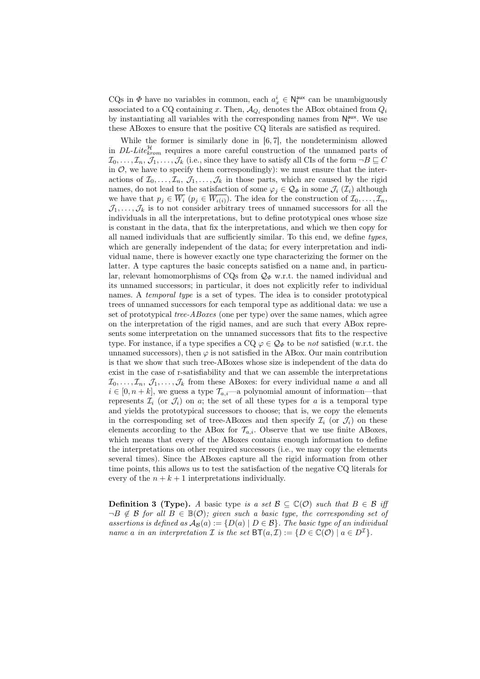CQs in  $\Phi$  have no variables in common, each  $a_x^i \in N_I^{\text{aux}}$  can be unambiguously associated to a CQ containing x. Then,  $A_{Q_i}$  denotes the ABox obtained from  $Q_i$ by instantiating all variables with the corresponding names from  $N_I^{aux}$ . We use these ABoxes to ensure that the positive CQ literals are satisfied as required.

While the former is similarly done in [6, 7], the nondeterminism allowed in DL-Lite $_{krom}^{\mathcal{H}}$  requires a more careful construction of the unnamed parts of  $\mathcal{I}_0, \ldots, \mathcal{I}_n, \mathcal{J}_1, \ldots, \mathcal{J}_k$  (i.e., since they have to satisfy all CIs of the form  $\neg B \sqsubseteq C$ in  $\mathcal{O}$ , we have to specify them correspondingly): we must ensure that the interactions of  $\mathcal{I}_0, \ldots, \mathcal{I}_n, \mathcal{J}_1, \ldots, \mathcal{J}_k$  in those parts, which are caused by the rigid names, do not lead to the satisfaction of some  $\varphi_i \in \mathcal{Q}_{\Phi}$  in some  $\mathcal{J}_i(\mathcal{I}_i)$  although we have that  $p_j \in \overline{W_i}$   $(p_j \in \overline{W_{\iota(i)}})$ . The idea for the construction of  $\mathcal{I}_0, \ldots, \mathcal{I}_n$ ,  $\mathcal{J}_1, \ldots, \mathcal{J}_k$  is to not consider arbitrary trees of unnamed successors for all the individuals in all the interpretations, but to define prototypical ones whose size is constant in the data, that fix the interpretations, and which we then copy for all named individuals that are sufficiently similar. To this end, we define types, which are generally independent of the data; for every interpretation and individual name, there is however exactly one type characterizing the former on the latter. A type captures the basic concepts satisfied on a name and, in particular, relevant homomorphisms of CQs from  $\mathcal{Q}_{\Phi}$  w.r.t. the named individual and its unnamed successors; in particular, it does not explicitly refer to individual names. A temporal type is a set of types. The idea is to consider prototypical trees of unnamed successors for each temporal type as additional data: we use a set of prototypical *tree-ABoxes* (one per type) over the same names, which agree on the interpretation of the rigid names, and are such that every ABox represents some interpretation on the unnamed successors that fits to the respective type. For instance, if a type specifies a CQ  $\varphi \in \mathcal{Q}_{\Phi}$  to be not satisfied (w.r.t. the unnamed successors), then  $\varphi$  is not satisfied in the ABox. Our main contribution is that we show that such tree-ABoxes whose size is independent of the data do exist in the case of r-satisfiability and that we can assemble the interpretations  $\mathcal{I}_0, \ldots, \mathcal{I}_n, \mathcal{J}_1, \ldots, \mathcal{J}_k$  from these ABoxes: for every individual name a and all  $i \in [0, n+k]$ , we guess a type  $\mathcal{T}_{a,i}$ —a polynomial amount of information—that represents  $\mathcal{I}_i$  (or  $\mathcal{J}_i$ ) on a; the set of all these types for a is a temporal type and yields the prototypical successors to choose; that is, we copy the elements in the corresponding set of tree-ABoxes and then specify  $\mathcal{I}_i$  (or  $\mathcal{J}_i$ ) on these elements according to the ABox for  $\mathcal{T}_{a,i}$ . Observe that we use finite ABoxes, which means that every of the ABoxes contains enough information to define the interpretations on other required successors (i.e., we may copy the elements several times). Since the ABoxes capture all the rigid information from other time points, this allows us to test the satisfaction of the negative CQ literals for every of the  $n + k + 1$  interpretations individually.

**Definition 3 (Type).** A basic type is a set  $\mathcal{B} \subseteq \mathbb{C}(\mathcal{O})$  such that  $B \in \mathcal{B}$  iff  $\neg B \notin \mathcal{B}$  for all  $B \in \mathbb{B}(\mathcal{O})$ ; given such a basic type, the corresponding set of assertions is defined as  $A_{\mathcal{B}}(a) := \{D(a) | D \in \mathcal{B}\}\.$  The basic type of an individual name a in an interpretation  $\mathcal I$  is the set  $\mathsf{BT}(a, \mathcal I) := \{ D \in \mathbb C(\mathcal O) \mid a \in D^{\mathcal I} \}.$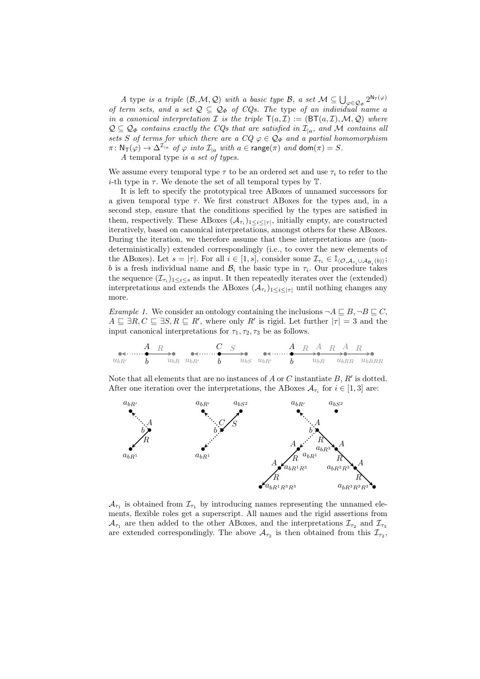A type is a triple  $(\mathcal{B}, \mathcal{M}, \mathcal{Q})$  with a basic type  $\mathcal{B}$ , a set  $\mathcal{M} \subseteq \bigcup_{\varphi \in \mathcal{Q}_{\Phi}} 2^{N_{\mathsf{T}}(\varphi)}$ of term sets, and a set  $\mathcal{Q} \subseteq \mathcal{Q}_{\Phi}$  of CQs. The type of an individual name a in a canonical interpretation  $\mathcal I$  is the triple  $\mathsf T(a,\mathcal I) := (\mathsf{BT}(a,\mathcal I),\mathcal M,\mathcal Q)$  where  $\mathcal{Q} \subseteq \mathcal{Q}_{\Phi}$  contains exactly the CQs that are satisfied in  $\mathcal{I}_{|a}$ , and M contains all sets S of terms for which there are a  $CQ \varphi \in \mathcal{Q}_{\Phi}$  and a partial homomorphism  $\pi\colon \mathsf{N}_{\mathsf{T}}(\varphi) \to \Delta^{\mathcal{I}_{|a}}$  of  $\varphi$  into  $\mathcal{I}_{|a}$  with  $a \in \mathsf{range}(\pi)$  and  $\mathsf{dom}(\pi) = S$ .

A temporal type is a set of types.

We assume every temporal type  $\tau$  to be an ordered set and use  $\tau_i$  to refer to the i-th type in  $\tau$ . We denote the set of all temporal types by  $\mathbb{T}$ .

It is left to specify the prototypical tree ABoxes of unnamed successors for a given temporal type  $\tau$ . We first construct ABoxes for the types and, in a second step, ensure that the conditions specified by the types are satisfied in them, respectively. These ABoxes  $(\mathcal{A}_{\tau_i})_{1 \leq i \leq |\tau|}$ , initially empty, are constructed iteratively, based on canonical interpretations, amongst others for these ABoxes. During the iteration, we therefore assume that these interpretations are (nondeterministically) extended correspondingly (i.e., to cover the new elements of the ABoxes). Let  $s = |\tau|$ . For all  $i \in [1, s]$ , consider some  $\mathcal{I}_{\tau_i} \in \mathbb{I}_{(\mathcal{O},\mathcal{A}_{\tau_i}\cup\mathcal{A}_{\mathcal{B}_i}(b))}$ ; b is a fresh individual name and  $\mathcal{B}_i$  the basic type in  $\tau_i$ . Our procedure takes the sequence  $(\mathcal{I}_{\tau_i})_{1 \leq i \leq s}$  as input. It then repeatedly iterates over the (extended) interpretations and extends the ABoxes  $(\mathcal{A}_{\tau_i})_{1 \leq i \leq |\tau|}$  until nothing changes any more.

Example 1. We consider an ontology containing the inclusions  $\neg A \sqsubseteq B, \neg B \sqsubseteq C$ ,  $A \subseteq \exists R, C \subseteq \exists S, R \subseteq R'$ , where only R' is rigid. Let further  $|\tau| = 3$  and the input canonical interpretations for  $\tau_1, \tau_2, \tau_3$  be as follows.

A ubR<sup>0</sup> b ubR R b C ubR<sup>0</sup> ubS S A ubR b <sup>0</sup> ubR A ubRR A ubRRR R R R

Note that all elements that are no instances of  $A$  or  $C$  instantiate  $B, R'$  is dotted. After one iteration over the interpretations, the ABoxes  $A_{\tau_i}$  for  $i \in [1,3]$  are:



 $\mathcal{A}_{\tau_1}$  is obtained from  $\mathcal{I}_{\tau_1}$  by introducing names representing the unnamed elements, flexible roles get a superscript. All names and the rigid assertions from  $\mathcal{A}_{\tau_1}$  are then added to the other ABoxes, and the interpretations  $\mathcal{I}_{\tau_2}$  and  $\mathcal{I}_{\tau_3}$ are extended correspondingly. The above  $A_{\tau_2}$  is then obtained from this  $\mathcal{I}_{\tau_2}$ ,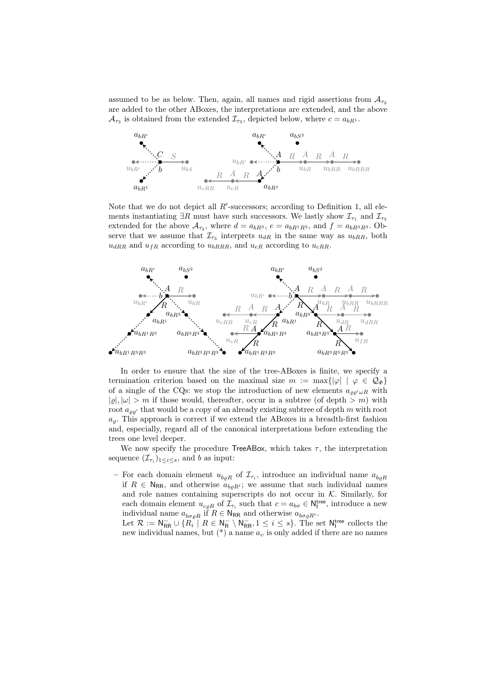assumed to be as below. Then, again, all names and rigid assertions from  $A_{\tau_2}$ are added to the other ABoxes, the interpretations are extended, and the above  $\mathcal{A}_{\tau_3}$  is obtained from the extended  $\mathcal{I}_{\tau_3}$ , depicted below, where  $c = a_{bR^1}$ .



Note that we do not depict all  $R'$ -successors; according to Definition 1, all elements instantiating  $\exists R$  must have such successors. We lastly show  $\mathcal{I}_{\tau_1}$  and  $\mathcal{I}_{\tau_3}$ extended for the above  $A_{\tau_3}$ , where  $d = a_{bR^3}$ ,  $e = a_{bR^1R^3}$ , and  $f = a_{bR^3R^3}$ . Observe that we assume that  $\mathcal{I}_{\tau_3}$  interprets  $u_{dR}$  in the same way as  $u_{bRR}$ , both  $u_{dRR}$  and  $u_{fR}$  according to  $u_{bRRR}$ , and  $u_{eR}$  according to  $u_{cRR}$ .



In order to ensure that the size of the tree-ABoxes is finite, we specify a termination criterion based on the maximal size  $m := \max\{|\varphi| \mid \varphi \in \mathcal{Q}_{\Phi}\}\$ of a single of the CQs: we stop the introduction of new elements  $a_{\rho\rho'\omega R}$  with  $|\varrho|, |\omega| > m$  if those would, thereafter, occur in a subtree (of depth  $>m$ ) with root  $a_{\varrho\varrho'}$  that would be a copy of an already existing subtree of depth m with root  $a_{\varrho}$ . This approach is correct if we extend the ABoxes in a breadth-first fashion and, especially, regard all of the canonical interpretations before extending the trees one level deeper.

We now specify the procedure TreeABox, which takes  $\tau$ , the interpretation sequence  $(\mathcal{I}_{\tau_i})_{1 \leq i \leq s}$ , and b as input:

- For each domain element  $u_{b\rho R}$  of  $\mathcal{I}_{\tau_i}$ , introduce an individual name  $a_{b\rho R}$ if  $R \in N_{RR}$ , and otherwise  $a_{bqR_i}$ ; we assume that such individual names and role names containing superscripts do not occur in  $K$ . Similarly, for each domain element  $u_{c\varrho R}$  of  $\mathcal{I}_{\tau_i}$  such that  $c = a_{b\sigma} \in \mathsf{N}_1^{\text{tree}}$ , introduce a new individual name  $a_{b\sigma\varrho R}$  if  $R \in \mathsf{N}_{\mathsf{RR}}$  and otherwise  $a_{b\sigma\varrho R^i}$ .

Let  $\mathcal{R} := \mathsf{N}_{\mathsf{RR}}^- \cup \{R_i \mid R \in \mathsf{N}_{\mathsf{R}}^- \setminus \mathsf{N}_{\mathsf{RR}}^-, 1 \leq i \leq s\}$ . The set  $\mathsf{N}_{\mathsf{I}}^{\mathsf{tree}}$  collects the new individual names, but  $(*)$  a name  $a_v$  is only added if there are no names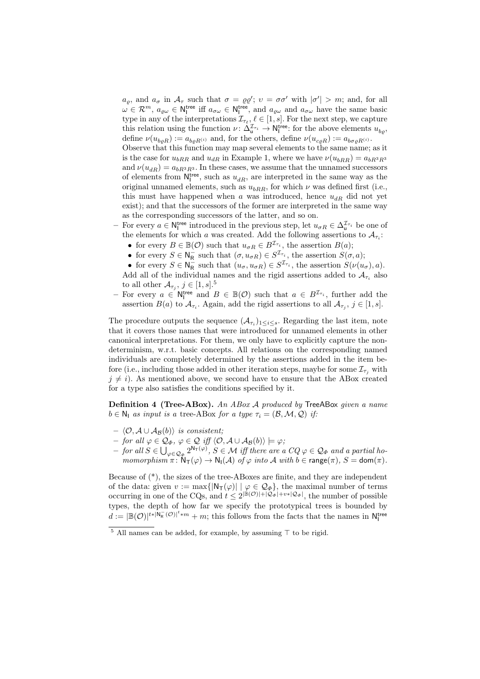$a_{\varrho}$ , and  $a_{\sigma}$  in  $\mathcal{A}_{\tau}$  such that  $\sigma = \varrho \varrho'$ ;  $v = \sigma \sigma'$  with  $|\sigma'| > m$ ; and, for all  $\omega \in \mathcal{R}^m$ ,  $a_{\varrho \omega} \in N_I^{\text{tree}}$  iff  $a_{\sigma \omega} \in N_I^{\text{tree}}$ , and  $a_{\varrho \omega}$  and  $a_{\sigma \omega}$  have the same basic type in any of the interpretations  $\mathcal{I}_{\tau_{\ell}}, \ell \in [1, s]$ . For the next step, we capture this relation using the function  $\nu \colon \Delta^{\mathcal{I}_{\tau_i}}_{\mathsf{u}} \to \mathsf{N}_1^{\mathsf{tree}}$ : for the above elements  $u_{b_\ell}$ , define  $\nu(u_{b\rho R}) := a_{b\rho R^{(i)}}$  and, for the others, define  $\nu(u_{c\rho R}) := a_{b\sigma\rho R^{(i)}}$ .

Observe that this function may map several elements to the same name; as it is the case for  $u_{bRR}$  and  $u_{dR}$  in Example 1, where we have  $\nu(u_{bRR}) = a_{bR^3R^3}$ and  $\nu(u_{dR}) = a_{bR^3R^3}$ . In these cases, we assume that the unnamed successors of elements from  $N_I^{\text{tree}}$ , such as  $u_{dR}$ , are interpreted in the same way as the original unnamed elements, such as  $u_{bRR}$ , for which  $\nu$  was defined first (i.e., this must have happened when a was introduced, hence  $u_{dR}$  did not yet exist); and that the successors of the former are interpreted in the same way as the corresponding successors of the latter, and so on.

- For every *a* ∈ N<sup>tree</sup> introduced in the previous step, let  $u_{σR}$  ∈  $\Delta$ <sup>T<sub>τi</sub></sup> be one of the elements for which a was created. Add the following assertions to  $A_{\tau_i}$ :
	- for every  $B \in \mathbb{B}(\mathcal{O})$  such that  $u_{\sigma R} \in B^{\mathcal{I}_{\tau_i}}$ , the assertion  $B(a)$ ;
	- for every  $S \in \mathsf{N}_{\mathsf{R}}^-$  such that  $(\sigma, u_{\sigma R}) \in S^{\mathcal{I}_{\tau_i}}$ , the assertion  $S(\sigma, a)$ ;
	- for every  $S \in \overline{\mathsf{N}_{\mathsf{R}}^{\mathsf{L}}}$  such that  $(u_{\sigma}, u_{\sigma \mathsf{R}}) \in S^{\mathcal{I}_{\tau_i}}$ , the assertion  $S(\nu(u_{\sigma}), a)$ . Add all of the individual names and the rigid assertions added to  $A_{\tau_i}$  also to all other  $\mathcal{A}_{\tau_j}, j \in [1, s]$ .<sup>5</sup>
- For every  $a \in \mathsf{N}_1^{\text{tree}}$  and  $B \in \mathbb{B}(\mathcal{O})$  such that  $a \in B^{\mathcal{I}_{\tau_i}}$ , further add the assertion  $B(a)$  to  $\mathcal{A}_{\tau_i}$ . Again, add the rigid assertions to all  $\mathcal{A}_{\tau_j}$ ,  $j \in [1, s]$ .

The procedure outputs the sequence  $(\mathcal{A}_{\tau_i})_{1 \leq i \leq s}$ . Regarding the last item, note that it covers those names that were introduced for unnamed elements in other canonical interpretations. For them, we only have to explicitly capture the nondeterminism, w.r.t. basic concepts. All relations on the corresponding named individuals are completely determined by the assertions added in the item before (i.e., including those added in other iteration steps, maybe for some  $\mathcal{I}_{\tau_i}$  with  $j \neq i$ ). As mentioned above, we second have to ensure that the ABox created for a type also satisfies the conditions specified by it.

Definition 4 (Tree-ABox). An ABox A produced by TreeABox given a name  $b \in \mathbb{N}_1$  as input is a tree-ABox for a type  $\tau_i = (\mathcal{B}, \mathcal{M}, \mathcal{Q})$  if:

- $\langle \mathcal{O}, \mathcal{A} \cup \mathcal{A}_{\mathcal{B}}(b) \rangle$  is consistent;
- $-$  for all  $\varphi \in \mathcal{Q}_\Phi$ ,  $\varphi \in \mathcal{Q}$  iff  $\langle \mathcal{O}, \mathcal{A} \cup \mathcal{A}_{\mathcal{B}}(b) \rangle \models \varphi$ ;
- $−$  for all  $S ∈ \bigcup_{\varphi ∈ Q_{\Phi}} 2^{N_{\mathsf{T}}(\varphi)}, S ∈ \mathcal{M}$  iff there are a  $CQ \varphi ∈ Q_{\Phi}$  and a partial homomorphism  $\pi\colon \mathsf{N}_\mathsf{T}(\varphi) \to \mathsf{N}_\mathsf{I}(\mathcal{A})$  of  $\varphi$  into  $\mathcal A$  with  $b \in \mathsf{range}(\pi), S = \mathsf{dom}(\pi)$ .

Because of (\*), the sizes of the tree-ABoxes are finite, and they are independent of the data: given  $v := \max\{|N_{\mathsf{T}}(\varphi)| \mid \varphi \in \mathcal{Q}_{\Phi}\}\)$ , the maximal number of terms occurring in one of the CQs, and  $t \leq 2^{|\mathbb{B}(\mathcal{O})|+|\mathcal{Q}_{\Phi}|+v*|\mathcal{Q}_{\Phi}|}$ , the number of possible types, the depth of how far we specify the prototypical trees is bounded by  $d := |\mathbb{B}(\mathcal{O})|^{t*|\overline{N_{\mathsf{R}}}}(\mathcal{O})|^{t* m} + m$ ; this follows from the facts that the names in  $N_{\mathsf{I}}^{\text{tree}}$ 

<sup>&</sup>lt;sup>5</sup> All names can be added, for example, by assuming  $\top$  to be rigid.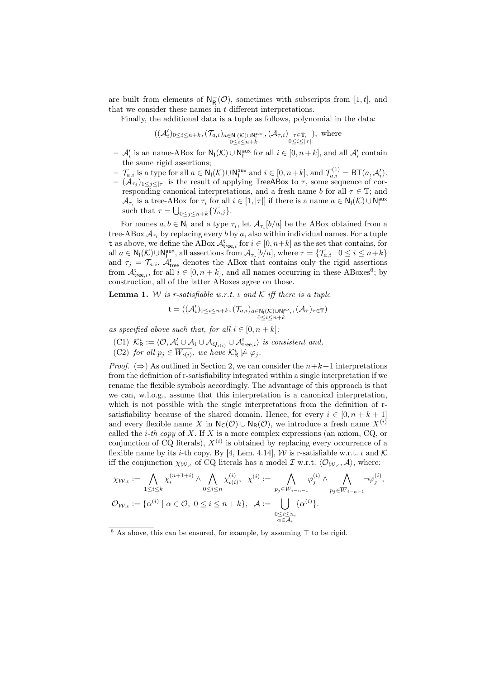are built from elements of  $N_R^-(\mathcal{O})$ , sometimes with subscripts from [1, t], and that we consider these names in  $t$  different interpretations.

Finally, the additional data is a tuple as follows, polynomial in the data:

$$
((\mathcal{A}'_i)_{0 \leq i \leq n+k}, (\mathcal{T}_{a,i})_{a \in \mathbb{N}_1(\mathcal{K}) \cup \mathbb{N}_1^{\text{aux}}}, (\mathcal{A}_{\tau,i})_{\substack{\tau \in \mathbb{T},\\ 0 \leq i \leq |\tau|}}), \text{ where}
$$

- $\mathcal{A}'_i$  is an name-ABox for  $\mathsf{N}_{\mathsf{I}}(\mathcal{K}) \cup \mathsf{N}_{\mathsf{I}}^{\text{aux}}$  for all  $i \in [0, n+k]$ , and all  $\mathcal{A}'_i$  contain the same rigid assertions;
- $\begin{aligned} \textbf{I} \mathcal{T}_{a,i} \text{ is a type for all } a \in \mathsf{N}_{\mathsf{I}}(\mathcal{K}) \cup \mathsf{N}_{\mathsf{I}}^{\mathsf{aux}} \text{ and } i \in [0,n+k], \text{and } \mathcal{T}_{a,i}^{(1)} = \mathsf{BT}(a,\mathcal{A}_i'). \end{aligned}$
- $(\mathcal{A}_{\tau_j})_{1 \leq j \leq |\tau|}$  is the result of applying TreeABox to  $\tau$ , some sequence of corresponding canonical interpretations, and a fresh name b for all  $\tau \in \mathbb{T}$ ; and  $\mathcal{A}_{\tau_i}$  is a tree-ABox for  $\tau_i$  for all  $i \in [1, |\tau|]$  if there is a name  $a \in \mathsf{N}_{\mathsf{I}}(\mathcal{K}) \cup \mathsf{N}_{\mathsf{I}}^{\mathsf{aux}}$ such that  $\tau = \bigcup_{0 \leq j \leq n+k} \{\mathcal{T}_{a,j}\}.$

For names  $a, b \in \mathbb{N}_1$  and a type  $\tau_i$ , let  $\mathcal{A}_{\tau_i}[b/a]$  be the ABox obtained from a tree-ABox  $\mathcal{A}_{\tau_i}$  by replacing every b by a, also within individual names. For a tuple t as above, we define the ABox  $A_{\text{tree},i}^t$  for  $i \in [0, n+k]$  as the set that contains, for all  $a \in \mathsf{N}_{\mathsf{I}}(\mathcal{K}) \cup \mathsf{N}_{\mathsf{I}}^{\mathsf{aux}},$  all assertions from  $\mathcal{A}_{\tau_j}[b/a]$ , where  $\tau = \{\mathcal{T}_{a,i} \mid 0 \leq i \leq n+k\}$ and  $\tau_j = \mathcal{T}_{a,i}$ .  $\mathcal{A}_{\text{tree}}^{\text{t}}$  denotes the ABox that contains only the rigid assertions from  $\mathcal{A}_{\text{tree},i}^{\text{t}}$ , for all  $i \in [0, n+k]$ , and all names occurring in these ABoxes<sup>6</sup>; by construction, all of the latter ABoxes agree on those.

**Lemma 1.** W is r-satisfiable w.r.t.  $\iota$  and  $\mathcal{K}$  iff there is a tuple

$$
\mathsf{t} = ((\mathcal{A}'_i)_{0 \leq i \leq n+k}, (\mathcal{T}_{a,i})_{a \in \mathsf{N}_\mathsf{I}(\mathcal{K}) \cup \mathsf{N}_\mathsf{I}^{\mathrm{aux}},\,} (\mathcal{A}_\tau)_{\tau \in \mathbb{T}})
$$

as specified above such that, for all  $i \in [0, n+k]$ :

- (C1)  $\mathcal{K}_{\mathsf{R}}^i := \langle \mathcal{O}, \mathcal{A}_i' \cup \mathcal{A}_i \cup \mathcal{A}_{Q_{\iota(i)}} \cup \mathcal{A}_{\text{tree},i}^{\mathsf{t}} \rangle$  is consistent and,
- (C2) for all  $p_j \in \overline{W_{\iota(i)}},$  we have  $\mathcal{K}_R^i \not\models \varphi_j$ .

*Proof.* ( $\Rightarrow$ ) As outlined in Section 2, we can consider the  $n+k+1$  interpretations from the definition of r-satisfiability integrated within a single interpretation if we rename the flexible symbols accordingly. The advantage of this approach is that we can, w.l.o.g., assume that this interpretation is a canonical interpretation, which is not possible with the single interpretations from the definition of rsatisfiability because of the shared domain. Hence, for every  $i \in [0, n+k+1]$ and every flexible name X in  $\mathsf{N}_{\mathsf{C}}(\mathcal{O}) \cup \mathsf{N}_{\mathsf{R}}(\mathcal{O})$ , we introduce a fresh name  $X^{(i)}$ called the *i*-th copy of X. If X is a more complex expressions (an axiom,  $CQ$ , or conjunction of CQ literals),  $X^{(i)}$  is obtained by replacing every occurrence of a flexible name by its i-th copy. By [4, Lem. 4.14], W is r-satisfiable w.r.t.  $\iota$  and  $\mathcal K$ iff the conjunction  $\chi_{W,\iota}$  of CQ literals has a model  $\mathcal I$  w.r.t.  $\langle \mathcal{O}_{W,\iota}, \mathcal{A} \rangle$ , where:

$$
\chi_{\mathcal{W},\iota} := \bigwedge_{1 \leq i \leq k} \chi_i^{(n+1+i)} \wedge \bigwedge_{0 \leq i \leq n} \chi_{\iota(i)}^{(i)}, \ \chi^{(i)} := \bigwedge_{p_j \in W_{i-n-1}} \varphi_j^{(i)} \wedge \bigwedge_{p_j \in \overline{W}_{i-n-1}} \neg \varphi_j^{(i)},
$$
  

$$
\mathcal{O}_{\mathcal{W},\iota} := \{ \alpha^{(i)} \mid \alpha \in \mathcal{O}, \ 0 \leq i \leq n+k \}, \ \mathcal{A} := \bigcup_{\substack{0 \leq i \leq n, \\ \alpha \in \mathcal{A}_i}} \{ \alpha^{(i)} \}.
$$

<sup>&</sup>lt;sup>6</sup> As above, this can be ensured, for example, by assuming  $\top$  to be rigid.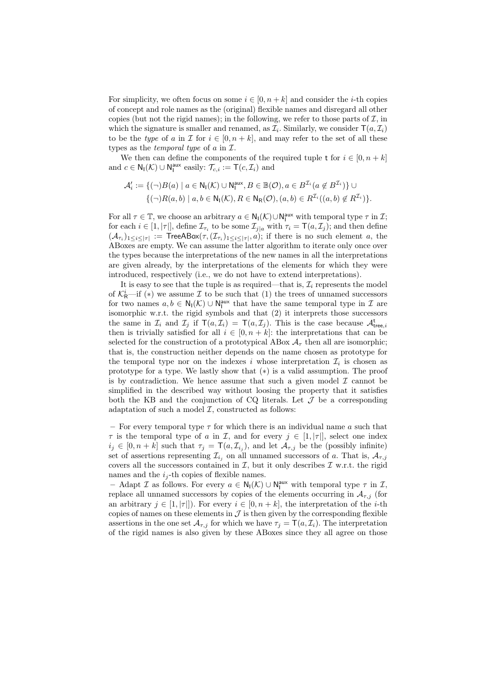For simplicity, we often focus on some  $i \in [0, n+k]$  and consider the *i*-th copies of concept and role names as the (original) flexible names and disregard all other copies (but not the rigid names); in the following, we refer to those parts of  $\mathcal{I}$ , in which the signature is smaller and renamed, as  $\mathcal{I}_i$ . Similarly, we consider  $\mathsf{T}(a, \mathcal{I}_i)$ to be the type of a in  $\mathcal I$  for  $i \in [0, n+k]$ , and may refer to the set of all these types as the *temporal type* of  $a$  in  $I$ .

We then can define the components of the required tuple t for  $i \in [0, n+k]$ and  $c \in \mathsf{N}_{\mathsf{I}}(\mathcal{K}) \cup \mathsf{N}_{\mathsf{I}}^{\text{aux}}$  easily:  $\mathcal{T}_{c,i} := \mathsf{T}(c, \mathcal{I}_i)$  and

$$
\mathcal{A}'_i := \{ (\neg)B(a) \mid a \in \mathsf{N}_{\mathsf{I}}(\mathcal{K}) \cup \mathsf{N}_{\mathsf{I}}^{\mathsf{aux}}, B \in \mathbb{B}(\mathcal{O}), a \in B^{\mathcal{I}_i}(a \notin B^{\mathcal{I}_i}) \} \cup \{ (\neg)R(a,b) \mid a,b \in \mathsf{N}_{\mathsf{I}}(\mathcal{K}), R \in \mathsf{N}_{\mathsf{R}}(\mathcal{O}), (a,b) \in R^{\mathcal{I}_i}((a,b) \notin R^{\mathcal{I}_i}) \}.
$$

For all  $\tau \in \mathbb{T}$ , we choose an arbitrary  $a \in \mathsf{N}_{\mathsf{I}}(\mathcal{K}) \cup \mathsf{N}_{\mathsf{I}}^{\mathsf{aux}}$  with temporal type  $\tau$  in  $\mathcal{I}$ ; for each  $i \in [1, |\tau|]$ , define  $\mathcal{I}_{\tau_i}$  to be some  $\mathcal{I}_{j|a}$  with  $\tau_i = \mathsf{T}(a, \mathcal{I}_j)$ ; and then define  $(\mathcal{A}_{\tau_i})_{1\leq i\leq |\tau|}:=\mathsf{TreeABox}(\tau,(\mathcal{I}_{\tau_i})_{1\leq i\leq |\tau|},a);$  if there is no such element a, the ABoxes are empty. We can assume the latter algorithm to iterate only once over the types because the interpretations of the new names in all the interpretations are given already, by the interpretations of the elements for which they were introduced, respectively (i.e., we do not have to extend interpretations).

It is easy to see that the tuple is as required—that is,  $\mathcal{I}_i$  represents the model of  $\mathcal{K}_{\mathsf{R}}^i$ —if (\*) we assume  $\mathcal I$  to be such that (1) the trees of unnamed successors for two names  $a, b \in N_I(\mathcal{K}) \cup N_I^{\text{aux}}$  that have the same temporal type in  $\mathcal I$  are isomorphic w.r.t. the rigid symbols and that (2) it interprets those successors the same in  $\mathcal{I}_i$  and  $\mathcal{I}_j$  if  $\mathsf{T}(a, \mathcal{I}_i) = \mathsf{T}(a, \mathcal{I}_j)$ . This is the case because  $\mathcal{A}^{\mathsf{t}}_{\mathsf{tree},i}$ then is trivially satisfied for all  $i \in [0, n+k]$ : the interpretations that can be selected for the construction of a prototypical ABox  $A<sub>\tau</sub>$  then all are isomorphic; that is, the construction neither depends on the name chosen as prototype for the temporal type nor on the indexes i whose interpretation  $\mathcal{I}_i$  is chosen as prototype for a type. We lastly show that (∗) is a valid assumption. The proof is by contradiction. We hence assume that such a given model  $\mathcal I$  cannot be simplified in the described way without loosing the property that it satisfies both the KB and the conjunction of CQ literals. Let  $\mathcal J$  be a corresponding adaptation of such a model  $I$ , constructed as follows:

– For every temporal type  $\tau$  for which there is an individual name a such that  $\tau$  is the temporal type of a in  $\mathcal{I}$ , and for every  $j \in [1, |\tau|]$ , select one index  $i_j \in [0, n+k]$  such that  $\tau_j = \mathsf{T}(a, \mathcal{I}_{i_j})$ , and let  $\mathcal{A}_{\tau, j}$  be the (possibly infinite) set of assertions representing  $\mathcal{I}_{i_j}$  on all unnamed successors of a. That is,  $\mathcal{A}_{\tau,j}$ covers all the successors contained in  $\mathcal{I}$ , but it only describes  $\mathcal{I}$  w.r.t. the rigid names and the  $i_j$ -th copies of flexible names.

- Adapt *I* as follows. For every  $a \in N_1(\mathcal{K}) \cup N_1^{\text{aux}}$  with temporal type  $\tau$  in *I*, replace all unnamed successors by copies of the elements occurring in  $A_{\tau,j}$  (for an arbitrary  $j \in [1, |\tau|]$ . For every  $i \in [0, n+k]$ , the interpretation of the *i*-th copies of names on these elements in  $\mathcal J$  is then given by the corresponding flexible assertions in the one set  $\mathcal{A}_{\tau,j}$  for which we have  $\tau_j = \mathsf{T}(a, \mathcal{I}_i)$ . The interpretation of the rigid names is also given by these ABoxes since they all agree on those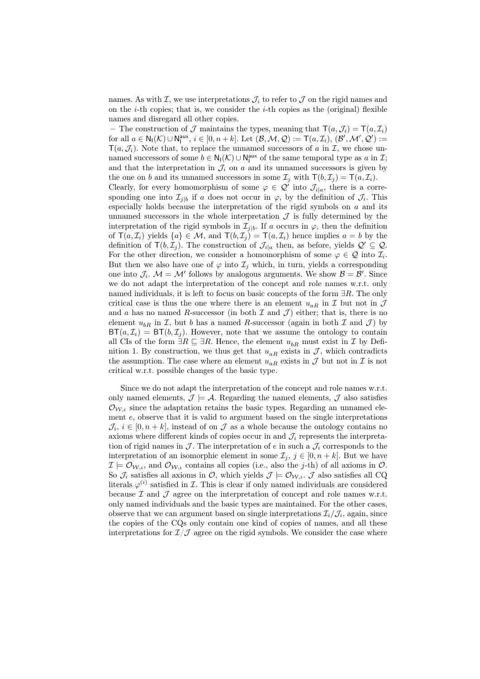names. As with  $\mathcal{I}$ , we use interpretations  $\mathcal{J}_i$  to refer to  $\mathcal{J}$  on the rigid names and on the *i*-th copies; that is, we consider the *i*-th copies as the (original) flexible names and disregard all other copies.

– The construction of  $\mathcal J$  maintains the types, meaning that  $\mathsf T(a,\mathcal J_i) = \mathsf T(a,\mathcal I_i)$ for all  $a \in N_I(\mathcal{K}) \cup N_I^{\text{aux}}, i \in [0, n+k]$ . Let  $(\mathcal{B}, \mathcal{M}, \mathcal{Q}) := \mathsf{T}(a, \mathcal{I}_i), (\mathcal{B}', \mathcal{M}', \mathcal{Q}') :=$  $T(a,\mathcal{J}_i)$ . Note that, to replace the unnamed successors of a in  $\mathcal{I}$ , we chose unnamed successors of some  $b \in N_I(\mathcal{K}) \cup N_I^{\text{aux}}$  of the same temporal type as  $a$  in  $\mathcal{I}$ ; and that the interpretation in  $\mathcal{J}_i$  on a and its unnamed successors is given by the one on b and its unnamed successors in some  $\mathcal{I}_j$  with  $\mathsf{T}(b, \mathcal{I}_j) = \mathsf{T}(a, \mathcal{I}_i)$ . Clearly, for every homomorphism of some  $\varphi \in \mathcal{Q}'$  into  $\mathcal{J}_{i|a}$ , there is a corresponding one into  $\mathcal{I}_{j|b}$  if a does not occur in  $\varphi$ , by the definition of  $\mathcal{J}_i$ . This especially holds because the interpretation of the rigid symbols on  $a$  and its unnamed successors in the whole interpretation  $\mathcal J$  is fully determined by the interpretation of the rigid symbols in  $\mathcal{I}_{j|b}$ . If a occurs in  $\varphi$ , then the definition of  $\mathsf{T}(a, \mathcal{I}_i)$  yields  $\{a\} \in \mathcal{M}$ , and  $\mathsf{T}(b, \mathcal{I}_i) = \mathsf{T}(a, \mathcal{I}_i)$  hence implies  $a = b$  by the definition of  $\mathsf{T}(b, \mathcal{I}_j)$ . The construction of  $\mathcal{J}_{i|a}$  then, as before, yields  $\mathcal{Q}' \subseteq \mathcal{Q}$ . For the other direction, we consider a homomorphism of some  $\varphi \in \mathcal{Q}$  into  $\mathcal{I}_i$ . But then we also have one of  $\varphi$  into  $\mathcal{I}_i$  which, in turn, yields a corresponding one into  $\mathcal{J}_i$ .  $\mathcal{M} = \mathcal{M}'$  follows by analogous arguments. We show  $\mathcal{B} = \mathcal{B}'$ . Since we do not adapt the interpretation of the concept and role names w.r.t. only named individuals, it is left to focus on basic concepts of the form  $\exists R$ . The only critical case is thus the one where there is an element  $u_{aR}$  in  $\mathcal I$  but not in  $\mathcal J$ and a has no named R-successor (in both  $\mathcal I$  and  $\mathcal J$ ) either; that is, there is no element  $u_{bR}$  in  $\mathcal{I}$ , but b has a named R-successor (again in both  $\mathcal{I}$  and  $\mathcal{J}$ ) by  $BT(a, \mathcal{I}_i) = BT(b, \mathcal{I}_i)$ . However, note that we assume the ontology to contain all CIs of the form  $\exists R \sqsubseteq \exists R$ . Hence, the element  $u_{bR}$  must exist in  $\mathcal I$  by Definition 1. By construction, we thus get that  $u_{aR}$  exists in  $J$ , which contradicts the assumption. The case where an element  $u_{aR}$  exists in  $\mathcal J$  but not in  $\mathcal I$  is not critical w.r.t. possible changes of the basic type.

Since we do not adapt the interpretation of the concept and role names w.r.t. only named elements,  $\mathcal{J} \models \mathcal{A}$ . Regarding the named elements,  $\mathcal{J}$  also satisfies  $\mathcal{O}_{W,\iota}$  since the adaptation retains the basic types. Regarding an unnamed element e, observe that it is valid to argument based on the single interpretations  $\mathcal{J}_i, i \in [0, n+k]$ , instead of on  $\mathcal J$  as a whole because the ontology contains no axioms where different kinds of copies occur in and  $\mathcal{J}_i$  represents the interpretation of rigid names in  $\mathcal J$ . The interpretation of e in such a  $\mathcal J_i$  corresponds to the interpretation of an isomorphic element in some  $\mathcal{I}_i, j \in [0, n+k]$ . But we have  $\mathcal{I} \models \mathcal{O}_{W,\iota}$ , and  $\mathcal{O}_{W,\iota}$  contains all copies (i.e., also the j-th) of all axioms in  $\mathcal{O}$ . So  $\mathcal{J}_i$  satisfies all axioms in  $\mathcal{O}$ , which yields  $\mathcal{J} \models \mathcal{O}_{\mathcal{W},i}$ .  $\mathcal{J}$  also satisfies all CQ literals  $\varphi^{(i)}$  satisfied in *I*. This is clear if only named individuals are considered because  $\mathcal I$  and  $\mathcal J$  agree on the interpretation of concept and role names w.r.t. only named individuals and the basic types are maintained. For the other cases, observe that we can argument based on single interpretations  $\mathcal{I}_i/\mathcal{J}_i$ , again, since the copies of the CQs only contain one kind of copies of names, and all these interpretations for  $\mathcal{I}/\mathcal{J}$  agree on the rigid symbols. We consider the case where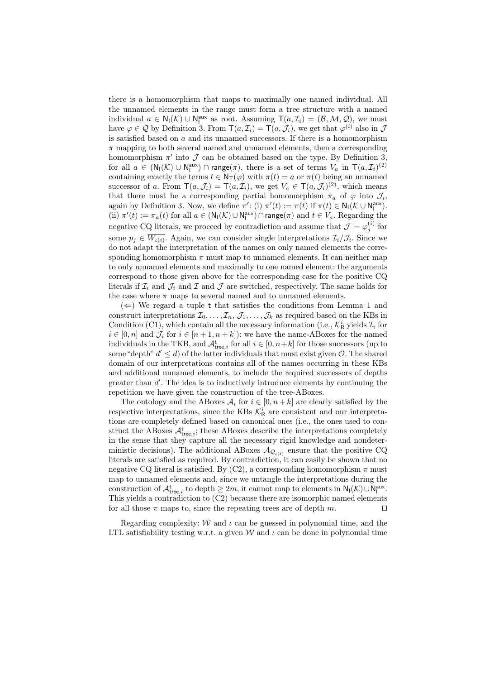there is a homomorphism that maps to maximally one named individual. All the unnamed elements in the range must form a tree structure with a named individual  $a \in N_I(\mathcal{K}) \cup N_I^{\text{aux}}$  as root. Assuming  $T(a, \mathcal{I}_i) = (\mathcal{B}, \mathcal{M}, \mathcal{Q})$ , we must have  $\varphi \in \mathcal{Q}$  by Definition 3. From  $\mathsf{T}(a, \mathcal{I}_i) = \mathsf{T}(a, \mathcal{J}_i)$ , we get that  $\varphi^{(i)}$  also in  $\mathcal{J}$ is satisfied based on  $a$  and its unnamed successors. If there is a homomorphism  $\pi$  mapping to both several named and unnamed elements, then a corresponding homomorphism  $\pi'$  into  $\mathcal J$  can be obtained based on the type. By Definition 3, for all  $a \in (\mathsf{N}_{\mathsf{I}}(\mathcal{K}) \cup \mathsf{N}_{\mathsf{I}}^{\mathsf{aux}}) \cap \mathsf{range}(\pi)$ , there is a set of terms  $V_a$  in  $\mathsf{T}(a,\mathcal{I}_i)^{(2)}$ containing exactly the terms  $t \in \mathsf{N}_{\mathsf{T}}(\varphi)$  with  $\pi(t) = a$  or  $\pi(t)$  being an unnamed successor of a. From  $\mathsf{T}(a,\mathcal{J}_i) = \mathsf{T}(a,\mathcal{I}_i)$ , we get  $V_a \in \mathsf{T}(a,\mathcal{J}_i)^{(2)}$ , which means that there must be a corresponding partial homomorphism  $\pi_a$  of  $\varphi$  into  $\mathcal{J}_i$ , again by Definition 3. Now, we define  $\pi'$ : (i)  $\pi'(t) := \pi(t)$  if  $\pi(t) \in N_1(\mathcal{K} \cup N_1^{\text{aux}})$ . (ii)  $\pi'(t) := \pi_a(t)$  for all  $a \in (\mathsf{N}_{\mathsf{I}}(\mathcal{K}) \cup \mathsf{N}_{\mathsf{I}}^{\mathsf{aux}}) \cap \mathsf{range}(\pi)$  and  $t \in V_a$ . Regarding the negative CQ literals, we proceed by contradiction and assume that  $\mathcal{J} \models \varphi_j^{(i)}$  for some  $p_j \in W_{\iota(i)}$ . Again, we can consider single interpretations  $\mathcal{I}_i/\mathcal{J}_i$ . Since we do not adapt the interpretation of the names on only named elements the corresponding homomorphism  $\pi$  must map to unnamed elements. It can neither map to only unnamed elements and maximally to one named element: the arguments correspond to those given above for the corresponding case for the positive CQ literals if  $\mathcal{I}_i$  and  $\mathcal{I}_i$  and  $\mathcal{I}_j$  are switched, respectively. The same holds for the case where  $\pi$  maps to several named and to unnamed elements.

 $(\Leftarrow)$  We regard a tuple t that satisfies the conditions from Lemma 1 and construct interpretations  $\mathcal{I}_0, \ldots, \mathcal{I}_n, \mathcal{J}_1, \ldots, \mathcal{J}_k$  as required based on the KBs in Condition (C1), which contain all the necessary information (i.e.,  $\mathcal{K}_{\mathsf{R}}^{i}$  yields  $\mathcal{I}_{i}$  for  $i \in [0, n]$  and  $\mathcal{J}_i$  for  $i \in [n + 1, n + k]$ : we have the name-ABoxes for the named individuals in the TKB, and  $\mathcal{A}_{\text{tree},i}^{\text{t}}$  for all  $i \in [0, n+k]$  for those successors (up to some "depth"  $d' \leq d$ ) of the latter individuals that must exist given  $\mathcal{O}$ . The shared domain of our interpretations contains all of the names occurring in these KBs and additional unnamed elements, to include the required successors of depths greater than  $d'$ . The idea is to inductively introduce elements by continuing the repetition we have given the construction of the tree-ABoxes.

The ontology and the ABoxes  $A_i$  for  $i \in [0, n+k]$  are clearly satisfied by the respective interpretations, since the KBs  $K_R^i$  are consistent and our interpretations are completely defined based on canonical ones (i.e., the ones used to construct the ABoxes  $A_{\text{tree},i}^{\text{t}}$ ; these ABoxes describe the interpretations completely in the sense that they capture all the necessary rigid knowledge and nondeterministic decisions). The additional ABoxes  $\mathcal{A}_{\mathcal{Q}_{\iota(i)}}$  ensure that the positive CQ literals are satisfied as required. By contradiction, it can easily be shown that no negative CQ literal is satisfied. By  $(C2)$ , a corresponding homomorphism  $\pi$  must map to unnamed elements and, since we untangle the interpretations during the construction of  $\mathcal{A}^{\mathsf{t}}_{\mathsf{tree},i}$  to depth  $\geq 2m$ , it cannot map to elements in  $\mathsf{N}_{\mathsf{I}}(\mathcal{K}) \cup \mathsf{N}_{\mathsf{I}}^{\mathsf{aux}}$ . This yields a contradiction to (C2) because there are isomorphic named elements for all those  $\pi$  maps to, since the repeating trees are of depth m.

Regarding complexity:  $W$  and  $\iota$  can be guessed in polynomial time, and the LTL satisfiability testing w.r.t. a given W and  $\iota$  can be done in polynomial time